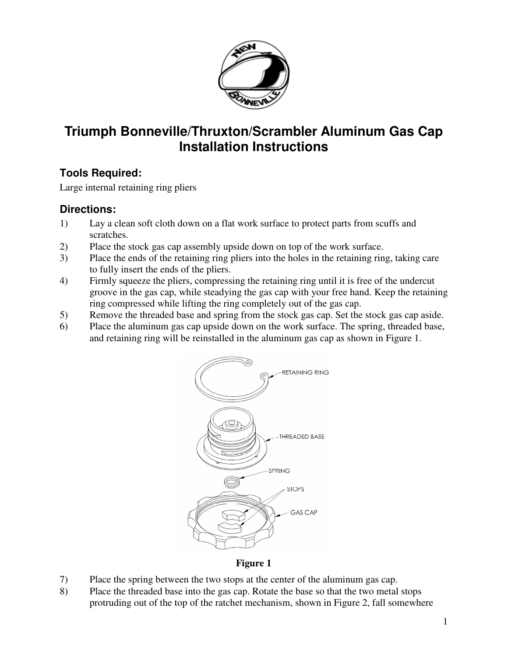

## **Triumph Bonneville/Thruxton/Scrambler Aluminum Gas Cap Installation Instructions**

## **Tools Required:**

Large internal retaining ring pliers

## **Directions:**

- 1) Lay a clean soft cloth down on a flat work surface to protect parts from scuffs and scratches.
- 2) Place the stock gas cap assembly upside down on top of the work surface.
- 3) Place the ends of the retaining ring pliers into the holes in the retaining ring, taking care to fully insert the ends of the pliers.
- 4) Firmly squeeze the pliers, compressing the retaining ring until it is free of the undercut groove in the gas cap, while steadying the gas cap with your free hand. Keep the retaining ring compressed while lifting the ring completely out of the gas cap.
- 5) Remove the threaded base and spring from the stock gas cap. Set the stock gas cap aside.
- 6) Place the aluminum gas cap upside down on the work surface. The spring, threaded base, and retaining ring will be reinstalled in the aluminum gas cap as shown in Figure 1.



**Figure 1** 

- 7) Place the spring between the two stops at the center of the aluminum gas cap.
- 8) Place the threaded base into the gas cap. Rotate the base so that the two metal stops protruding out of the top of the ratchet mechanism, shown in Figure 2, fall somewhere